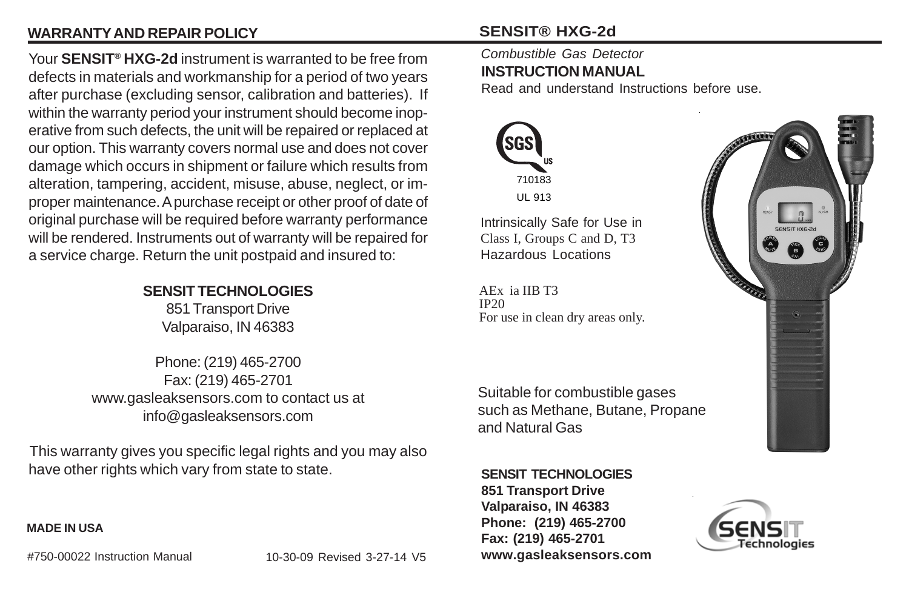## **WARRANTY AND REPAIR POLICY**

Your **SENSIT® HXG-2d** instrument is warranted to be free from defects in materials and workmanship for a period of two years after purchase (excluding sensor, calibration and batteries). If within the warranty period your instrument should become inoperative from such defects, the unit will be repaired or replaced at our option. This warranty covers normal use and does not cover damage which occurs in shipment or failure which results from alteration, tampering, accident, misuse, abuse, neglect, or improper maintenance. A purchase receipt or other proof of date of original purchase will be required before warranty performance will be rendered. Instruments out of warranty will be repaired for a service charge. Return the unit postpaid and insured to:

#### **SENSIT TECHNOLOGIES**

851 Transport Drive Valparaiso, IN 46383

Phone: (219) 465-2700 Fax: (219) 465-2701 www.gasleaksensors.com to contact us at info@gasleaksensors.com

This warranty gives you specific legal rights and you may also have other rights which vary from state to state.

#### **MADE IN USA**

#750-00022 Instruction Manual

10-30-09 Revised 3-27-14 V5

## **SENSIT® HXG-2d**

#### *Combustible Gas Detector* **INSTRUCTION MANUAL**

Read and understand Instructions before use.



Intrinsically Safe for Use in Class I, Groups C and D, T3 Hazardous Locations

AEx ia IIB T3 IP20 For use in clean dry areas only.

Suitable for combustible gases such as Methane, Butane, Propane and Natural Gas

**SENSIT TECHNOLOGIES**

**851 Transport Drive Valparaiso, IN 46383 Phone: (219) 465-2700 Fax: (219) 465-2701 www.gasleaksensors.com**



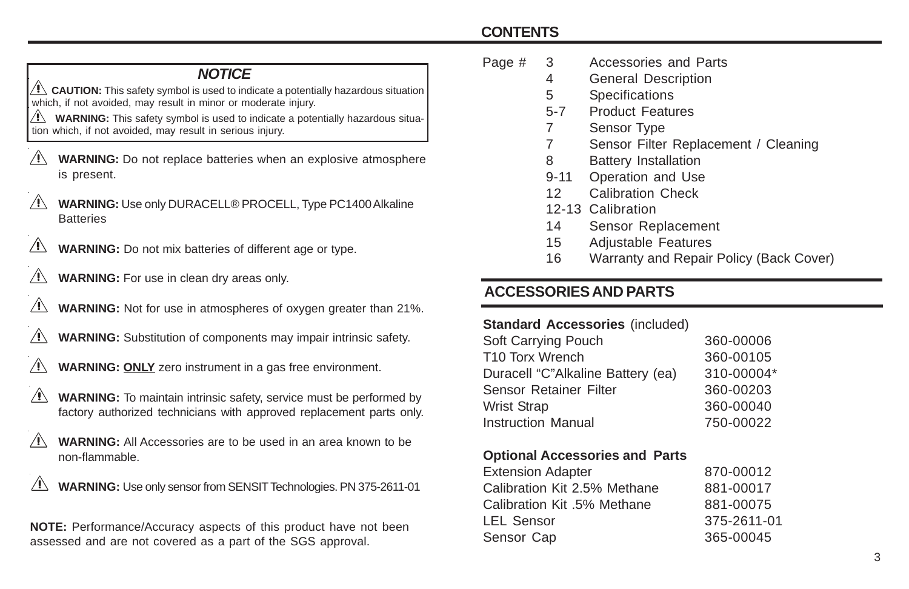## **CONTENTS**

#### *NOTICE*

**CAUTION:** This safety symbol is used to indicate a potentially hazardous situation which, if not avoided, may result in minor or moderate injury.

**WARNING:** This safety symbol is used to indicate a potentially hazardous situation which, if not avoided, may result in serious injury.

- **WARNING:** Do not replace batteries when an explosive atmosphere is present.
- **WARNING:** Use only DURACELL® PROCELL, Type PC1400 Alkaline **Batteries**
- **WARNING:** Do not mix batteries of different age or type.
- **WARNING:** For use in clean dry areas only.
- **WARNING:** Not for use in atmospheres of oxygen greater than 21%.
- **WARNING:** Substitution of components may impair intrinsic safety.
- **WARNING: ONLY** zero instrument in a gas free environment.
- **WARNING:** To maintain intrinsic safety, service must be performed by factory authorized technicians with approved replacement parts only.
- **WARNING:** All Accessories are to be used in an area known to be non-flammable.
- $\wedge$ **WARNING:** Use only sensor from SENSIT Technologies. PN 375-2611-01

**NOTE:** Performance/Accuracy aspects of this product have not been assessed and are not covered as a part of the SGS approval.

- Page # 3 Accessories and Parts
	- 4 General Description
	- 5 Specifications
	- 5-7 Product Features
	- 7 Sensor Type
	- 7 Sensor Filter Replacement / Cleaning
	- 8 Battery Installation
	- 9-11 Operation and Use
	- 12 Calibration Check
	- 12-13 Calibration
	- 14 Sensor Replacement
	- 15 Adjustable Features
	- 16 Warranty and Repair Policy (Back Cover)

## **ACCESSORIES AND PARTS**

#### **Standard Accessories** (included)

| Soft Carrying Pouch               | 360-00006  |
|-----------------------------------|------------|
| T10 Torx Wrench                   | 360-00105  |
| Duracell "C"Alkaline Battery (ea) | 310-00004* |
| Sensor Retainer Filter            | 360-00203  |
| Wrist Strap                       | 360-00040  |
| Instruction Manual                | 750-00022  |
|                                   |            |

#### **Optional Accessories and Parts**

| 870-00012   |
|-------------|
| 881-00017   |
| 881-00075   |
| 375-2611-01 |
| 365-00045   |
|             |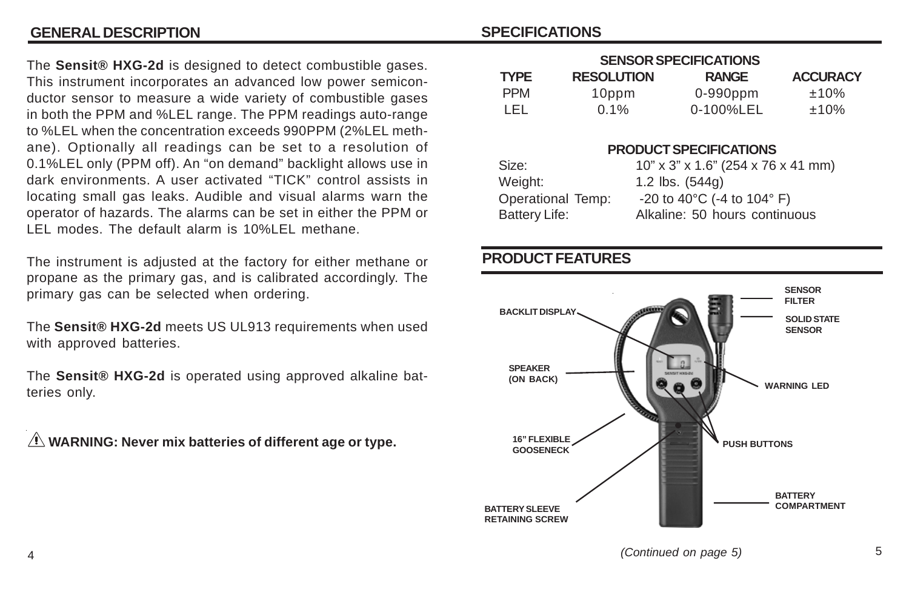#### **GENERAL DESCRIPTION SPECIFICATIONS**

The **Sensit® HXG-2d** is designed to detect combustible gases. This instrument incorporates an advanced low power semiconductor sensor to measure a wide variety of combustible gases in both the PPM and %LEL range. The PPM readings auto-range to %LEL when the concentration exceeds 990PPM (2%LEL methane). Optionally all readings can be set to a resolution of 0.1%LEL only (PPM off). An "on demand" backlight allows use in dark environments. A user activated "TICK" control assists in locating small gas leaks. Audible and visual alarms warn the operator of hazards. The alarms can be set in either the PPM or LEL modes. The default alarm is 10%LEL methane.

The instrument is adjusted at the factory for either methane or propane as the primary gas, and is calibrated accordingly. The primary gas can be selected when ordering.

The **Sensit® HXG-2d** meets US UL913 requirements when used with approved batteries.

The **Sensit® HXG-2d** is operated using approved alkaline batteries only.

 **WARNING: Never mix batteries of different age or type.**

| <b>SENSOR SPECIFICATIONS</b> |                   |                                                                                                                                                                                                                                                                                                                                                                                                                                                                       |                 |  |  |  |
|------------------------------|-------------------|-----------------------------------------------------------------------------------------------------------------------------------------------------------------------------------------------------------------------------------------------------------------------------------------------------------------------------------------------------------------------------------------------------------------------------------------------------------------------|-----------------|--|--|--|
| <b>TYPE</b>                  | <b>RESOLUTION</b> | <b>RANGE</b>                                                                                                                                                                                                                                                                                                                                                                                                                                                          | <b>ACCURACY</b> |  |  |  |
| <b>PPM</b>                   | 10ppm             | $0-990$ ppm                                                                                                                                                                                                                                                                                                                                                                                                                                                           | $±10\%$         |  |  |  |
| LEL                          | $0.1\%$           | 0-100%LEL                                                                                                                                                                                                                                                                                                                                                                                                                                                             | ±10%            |  |  |  |
| $\mathbf{r}$                 |                   | <b>PRODUCT SPECIFICATIONS</b><br>$10^{\prime\prime}$ $0^{\prime\prime}$ $10^{\prime\prime}$ $0^{\prime\prime}$ $0^{\prime\prime}$ $10^{\prime\prime}$ $0^{\prime\prime}$ $0^{\prime\prime}$ $0^{\prime\prime}$ $0^{\prime\prime}$ $0^{\prime\prime}$ $0^{\prime\prime}$ $0^{\prime\prime}$ $0^{\prime\prime}$ $0^{\prime\prime}$ $0^{\prime\prime}$ $0^{\prime\prime}$ $0^{\prime\prime}$ $0^{\prime\prime}$ $0^{\prime\prime}$ $0^{\prime\prime}$ $0^{\prime\prime}$ |                 |  |  |  |

| Size:             | $10"$ x 3" x 1.6" (254 x 76 x 41 mm) |
|-------------------|--------------------------------------|
| Weight:           | 1.2 $\text{lbs.}$ (544g)             |
| Operational Temp: | $-20$ to 40°C ( $-4$ to 104° F)      |
| Battery Life:     | Alkaline: 50 hours continuous        |

#### **PRODUCT FEATURES**

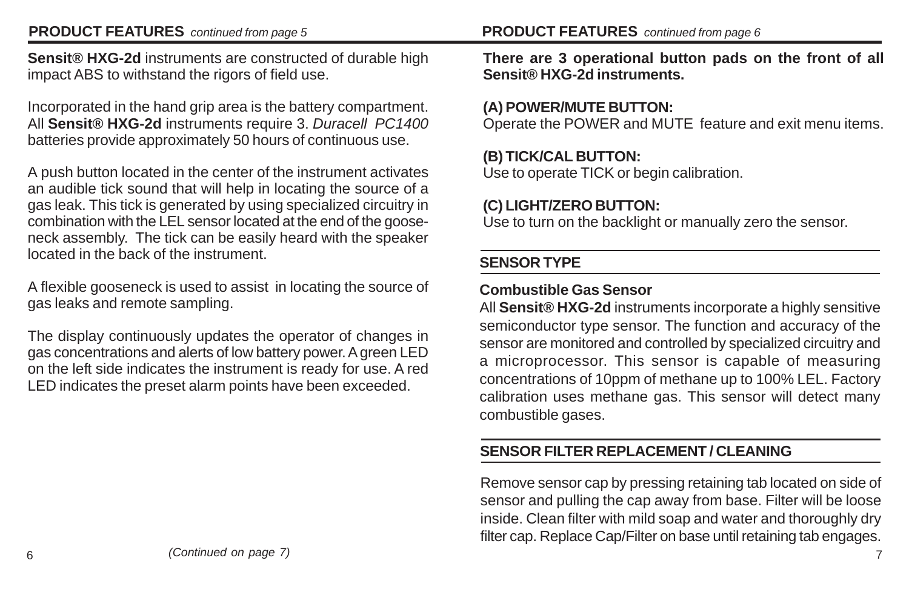#### **PRODUCT FEATURES** *continued from page 5*

**Sensit® HXG-2d** instruments are constructed of durable high impact ABS to withstand the rigors of field use.

Incorporated in the hand grip area is the battery compartment. All **Sensit® HXG-2d** instruments require 3. *Duracell PC1400* batteries provide approximately 50 hours of continuous use.

A push button located in the center of the instrument activates an audible tick sound that will help in locating the source of a gas leak. This tick is generated by using specialized circuitry in combination with the LEL sensor located at the end of the gooseneck assembly. The tick can be easily heard with the speaker located in the back of the instrument.

A flexible gooseneck is used to assist in locating the source of gas leaks and remote sampling.

The display continuously updates the operator of changes in gas concentrations and alerts of low battery power. A green LED on the left side indicates the instrument is ready for use. A red LED indicates the preset alarm points have been exceeded.

**There are 3 operational button pads on the front of all Sensit® HXG-2d instruments.**

## **(A) POWER/MUTE BUTTON:**

Operate the POWER and MUTE feature and exit menu items.

## **(B) TICK/CAL BUTTON:**

Use to operate TICK or begin calibration.

## **(C) LIGHT/ZERO BUTTON:**

Use to turn on the backlight or manually zero the sensor.

## **SENSOR TYPE**

# **Combustible Gas Sensor**

All **Sensit® HXG-2d** instruments incorporate a highly sensitive semiconductor type sensor. The function and accuracy of the sensor are monitored and controlled by specialized circuitry and a microprocessor. This sensor is capable of measuring concentrations of 10ppm of methane up to 100% LEL. Factory calibration uses methane gas. This sensor will detect many combustible gases.

# **SENSOR FILTER REPLACEMENT / CLEANING**

Remove sensor cap by pressing retaining tab located on side of sensor and pulling the cap away from base. Filter will be loose inside. Clean filter with mild soap and water and thoroughly dry filter cap. Replace Cap/Filter on base until retaining tab engages.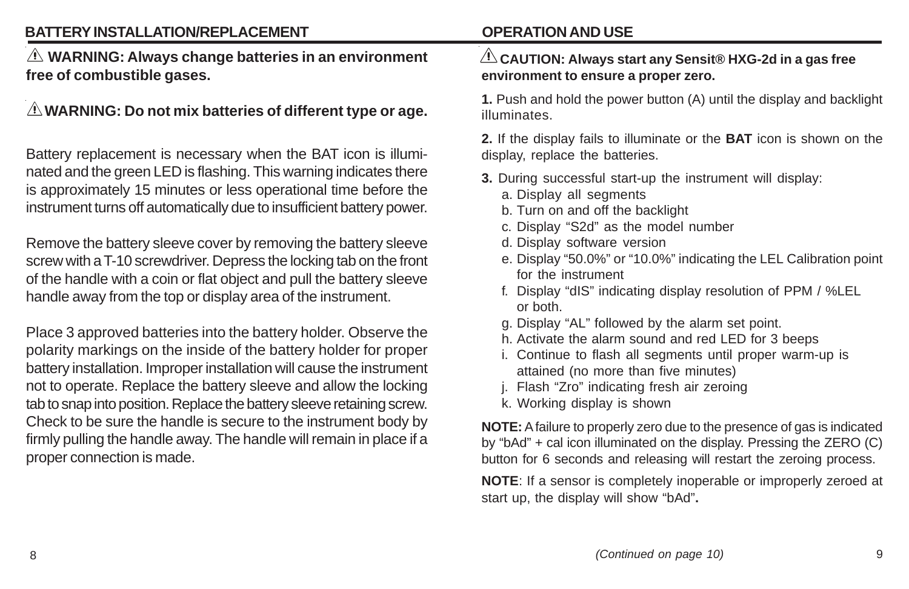## **BATTERY INSTALLATION/REPLACEMENT**

 **WARNING: Always change batteries in an environment free of combustible gases.**

# **WARNING: Do not mix batteries of different type or age.**

Battery replacement is necessary when the BAT icon is illuminated and the green LED is flashing. This warning indicates there is approximately 15 minutes or less operational time before the instrument turns off automatically due to insufficient battery power.

Remove the battery sleeve cover by removing the battery sleeve screw with a T-10 screwdriver. Depress the locking tab on the front of the handle with a coin or flat object and pull the battery sleeve handle away from the top or display area of the instrument.

Place 3 approved batteries into the battery holder. Observe the polarity markings on the inside of the battery holder for proper battery installation. Improper installation will cause the instrument not to operate. Replace the battery sleeve and allow the locking tab to snap into position. Replace the battery sleeve retaining screw. Check to be sure the handle is secure to the instrument body by firmly pulling the handle away. The handle will remain in place if a proper connection is made.

# **OPERATION AND USE**

#### **CAUTION: Always start any Sensit® HXG-2d in a gas free environment to ensure a proper zero.**

**1.** Push and hold the power button (A) until the display and backlight illuminates.

**2.** If the display fails to illuminate or the **BAT** icon is shown on the display, replace the batteries.

- **3.** During successful start-up the instrument will display:
	- a. Display all segments
	- b. Turn on and off the backlight
	- c. Display "S2d" as the model number
	- d. Display software version
	- e. Display "50.0%" or "10.0%" indicating the LEL Calibration point for the instrument
	- f. Display "dIS" indicating display resolution of PPM / %LEL or both.
	- g. Display "AL" followed by the alarm set point.
	- h. Activate the alarm sound and red LED for 3 beeps
	- i. Continue to flash all segments until proper warm-up is attained (no more than five minutes)
	- j. Flash "Zro" indicating fresh air zeroing
	- k. Working display is shown

**NOTE:** A failure to properly zero due to the presence of gas is indicated by "bAd" + cal icon illuminated on the display. Pressing the ZERO (C) button for 6 seconds and releasing will restart the zeroing process.

**NOTE**: If a sensor is completely inoperable or improperly zeroed at start up, the display will show "bAd"**.**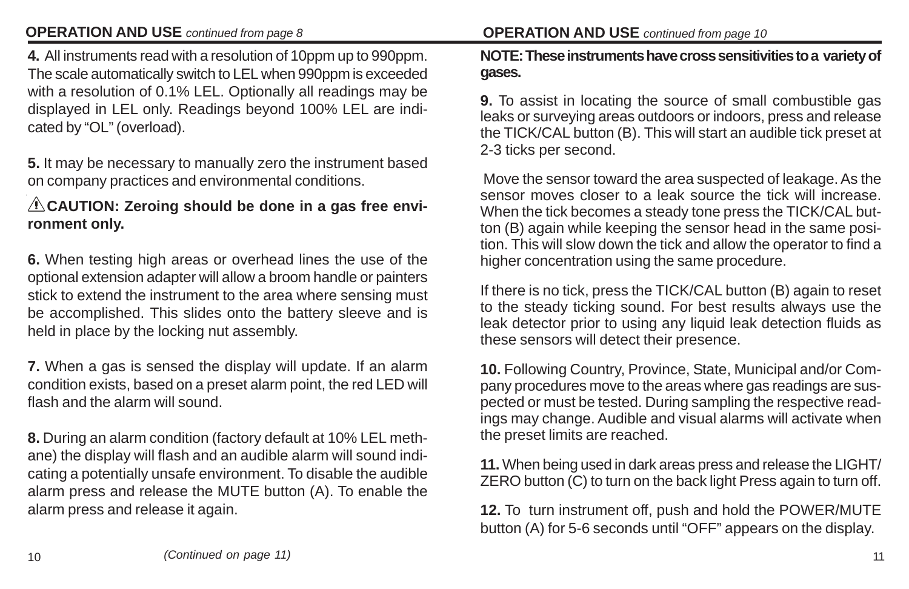## **OPERATION AND USE** *continued from page 8*

**4.** All instruments read with a resolution of 10ppm up to 990ppm. The scale automatically switch to LEL when 990ppm is exceeded with a resolution of 0.1% LEL. Optionally all readings may be displayed in LEL only. Readings beyond 100% LEL are indicated by "OL" (overload).

**5.** It may be necessary to manually zero the instrument based on company practices and environmental conditions.

### **A CAUTION: Zeroing should be done in a gas free environment only.**

**6.** When testing high areas or overhead lines the use of the optional extension adapter will allow a broom handle or painters stick to extend the instrument to the area where sensing must be accomplished. This slides onto the battery sleeve and is held in place by the locking nut assembly.

**7.** When a gas is sensed the display will update. If an alarm condition exists, based on a preset alarm point, the red LED will flash and the alarm will sound.

**8.** During an alarm condition (factory default at 10% LEL methane) the display will flash and an audible alarm will sound indicating a potentially unsafe environment. To disable the audible alarm press and release the MUTE button (A). To enable the alarm press and release it again.

#### **OPERATION AND USE** *continued from page 10*

#### **NOTE: These instruments have cross sensitivities to a variety of gases.**

**9.** To assist in locating the source of small combustible gas leaks or surveying areas outdoors or indoors, press and release the TICK/CAL button (B). This will start an audible tick preset at 2-3 ticks per second.

 Move the sensor toward the area suspected of leakage. As the sensor moves closer to a leak source the tick will increase. When the tick becomes a steady tone press the TICK/CAL button (B) again while keeping the sensor head in the same position. This will slow down the tick and allow the operator to find a higher concentration using the same procedure.

If there is no tick, press the TICK/CAL button (B) again to reset to the steady ticking sound. For best results always use the leak detector prior to using any liquid leak detection fluids as these sensors will detect their presence.

**10.** Following Country, Province, State, Municipal and/or Company procedures move to the areas where gas readings are suspected or must be tested. During sampling the respective readings may change. Audible and visual alarms will activate when the preset limits are reached.

**11.** When being used in dark areas press and release the LIGHT/ ZERO button (C) to turn on the back light Press again to turn off.

**12.** To turn instrument off, push and hold the POWER/MUTE button (A) for 5-6 seconds until "OFF" appears on the display.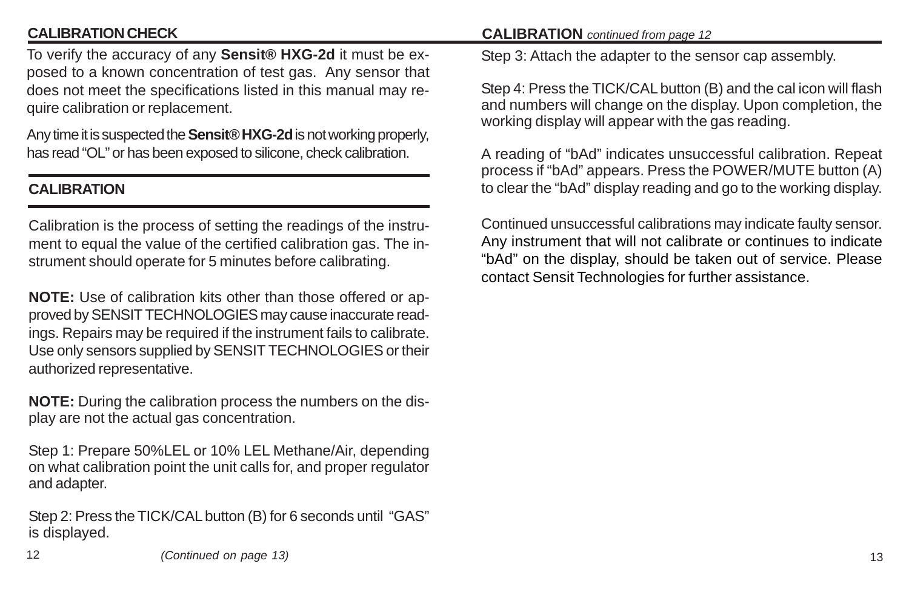## **CALIBRATION CHECK**

To verify the accuracy of any **Sensit® HXG-2d** it must be exposed to a known concentration of test gas. Any sensor that does not meet the specifications listed in this manual may require calibration or replacement.

Any time it is suspected the **Sensit® HXG-2d** is not working properly, has read "OL" or has been exposed to silicone, check calibration.

## **CALIBRATION**

Calibration is the process of setting the readings of the instrument to equal the value of the certified calibration gas. The instrument should operate for 5 minutes before calibrating.

**NOTE:** Use of calibration kits other than those offered or approved by SENSIT TECHNOLOGIES may cause inaccurate readings. Repairs may be required if the instrument fails to calibrate. Use only sensors supplied by SENSIT TECHNOLOGIES or their authorized representative.

**NOTE:** During the calibration process the numbers on the display are not the actual gas concentration.

Step 1: Prepare 50%LEL or 10% LEL Methane/Air, depending on what calibration point the unit calls for, and proper regulator and adapter.

Step 2: Press the TICK/CAL button (B) for 6 seconds until "GAS" is displayed.

#### **CALIBRATION** *continued from page 12*

Step 3: Attach the adapter to the sensor cap assembly.

Step 4: Press the TICK/CAL button (B) and the cal icon will flash and numbers will change on the display. Upon completion, the working display will appear with the gas reading.

A reading of "bAd" indicates unsuccessful calibration. Repeat process if "bAd" appears. Press the POWER/MUTE button (A) to clear the "bAd" display reading and go to the working display.

Continued unsuccessful calibrations may indicate faulty sensor. Any instrument that will not calibrate or continues to indicate "bAd" on the display, should be taken out of service. Please contact Sensit Technologies for further assistance.